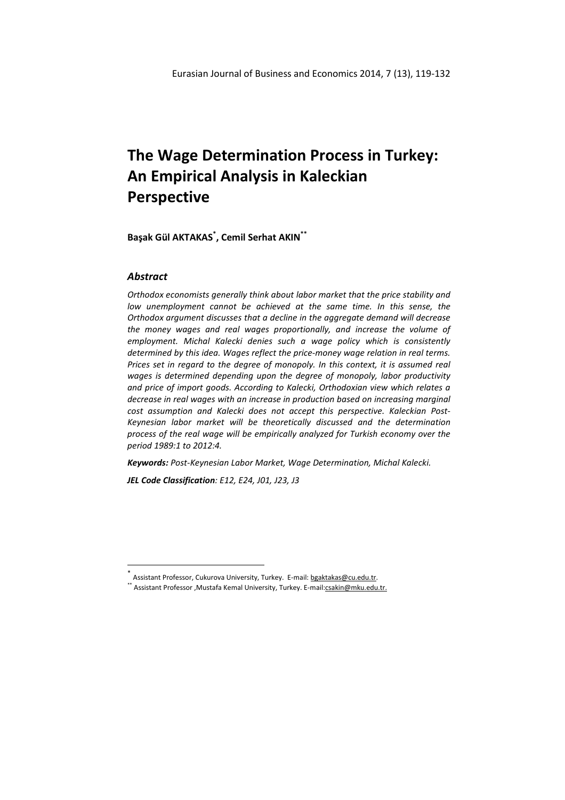# **The Wage Determination Process in Turkey: An Empirical Analysis in Kaleckian Perspective**

**Başak Gül AKTAKAS\* , Cemil Serhat AKIN\*\***

# *Abstract*

l

*Orthodox economists generally think about labor market that the price stability and*  low unemployment cannot be achieved at the same time. In this sense, the *Orthodox argument discusses that a decline in the aggregate demand will decrease the money wages and real wages proportionally, and increase the volume of employment. Michal Kalecki denies such a wage policy which is consistently determined by this idea. Wages reflect the price-money wage relation in real terms. Prices set in regard to the degree of monopoly. In this context, it is assumed real wages is determined depending upon the degree of monopoly, labor productivity and price of import goods. According to Kalecki, Orthodoxian view which relates a decrease in real wages with an increase in production based on increasing marginal cost assumption and Kalecki does not accept this perspective. Kaleckian Post-Keynesian labor market will be theoretically discussed and the determination process of the real wage will be empirically analyzed for Turkish economy over the period 1989:1 to 2012:4.* 

*Keywords: Post-Keynesian Labor Market, Wage Determination, Michal Kalecki.* 

*JEL Code Classification: E12, E24, J01, J23, J3* 

<sup>\*&</sup>lt;br>^ Assistant Professor, Cukurova University, Turkey. E-mail: <u>bgaktakas@cu.edu.tr</u>.

<sup>\*</sup> Assistant Professor ,Mustafa Kemal University, Turkey. E-mail:**csakin@mku.edu.tr.**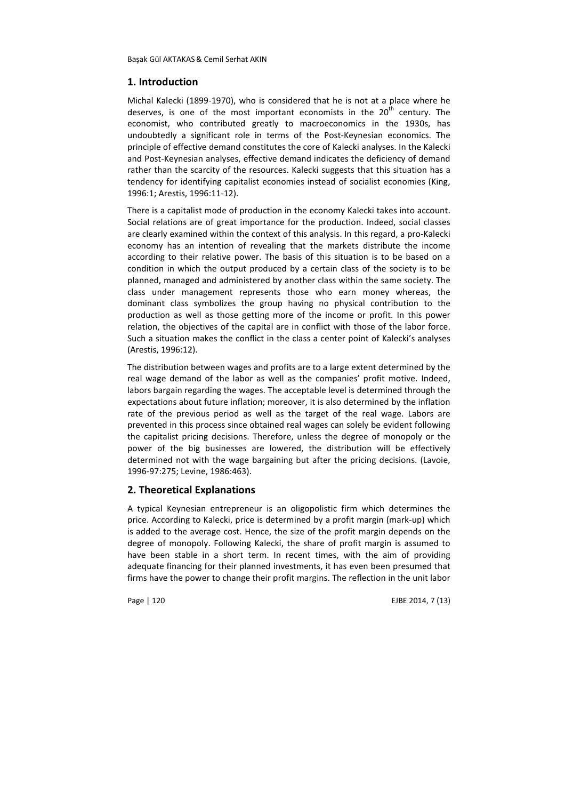# **1. Introduction**

Michal Kalecki (1899-1970), who is considered that he is not at a place where he deserves, is one of the most important economists in the  $20<sup>th</sup>$  century. The economist, who contributed greatly to macroeconomics in the 1930s, has undoubtedly a significant role in terms of the Post-Keynesian economics. The principle of effective demand constitutes the core of Kalecki analyses. In the Kalecki and Post-Keynesian analyses, effective demand indicates the deficiency of demand rather than the scarcity of the resources. Kalecki suggests that this situation has a tendency for identifying capitalist economies instead of socialist economies (King, 1996:1; Arestis, 1996:11-12).

There is a capitalist mode of production in the economy Kalecki takes into account. Social relations are of great importance for the production. Indeed, social classes are clearly examined within the context of this analysis. In this regard, a pro-Kalecki economy has an intention of revealing that the markets distribute the income according to their relative power. The basis of this situation is to be based on a condition in which the output produced by a certain class of the society is to be planned, managed and administered by another class within the same society. The class under management represents those who earn money whereas, the dominant class symbolizes the group having no physical contribution to the production as well as those getting more of the income or profit. In this power relation, the objectives of the capital are in conflict with those of the labor force. Such a situation makes the conflict in the class a center point of Kalecki's analyses (Arestis, 1996:12).

The distribution between wages and profits are to a large extent determined by the real wage demand of the labor as well as the companies' profit motive. Indeed, labors bargain regarding the wages. The acceptable level is determined through the expectations about future inflation; moreover, it is also determined by the inflation rate of the previous period as well as the target of the real wage. Labors are prevented in this process since obtained real wages can solely be evident following the capitalist pricing decisions. Therefore, unless the degree of monopoly or the power of the big businesses are lowered, the distribution will be effectively determined not with the wage bargaining but after the pricing decisions. (Lavoie, 1996-97:275; Levine, 1986:463).

## **2. Theoretical Explanations**

A typical Keynesian entrepreneur is an oligopolistic firm which determines the price. According to Kalecki, price is determined by a profit margin (mark-up) which is added to the average cost. Hence, the size of the profit margin depends on the degree of monopoly. Following Kalecki, the share of profit margin is assumed to have been stable in a short term. In recent times, with the aim of providing adequate financing for their planned investments, it has even been presumed that firms have the power to change their profit margins. The reflection in the unit labor

Page | 120 EJBE 2014, 7 (13)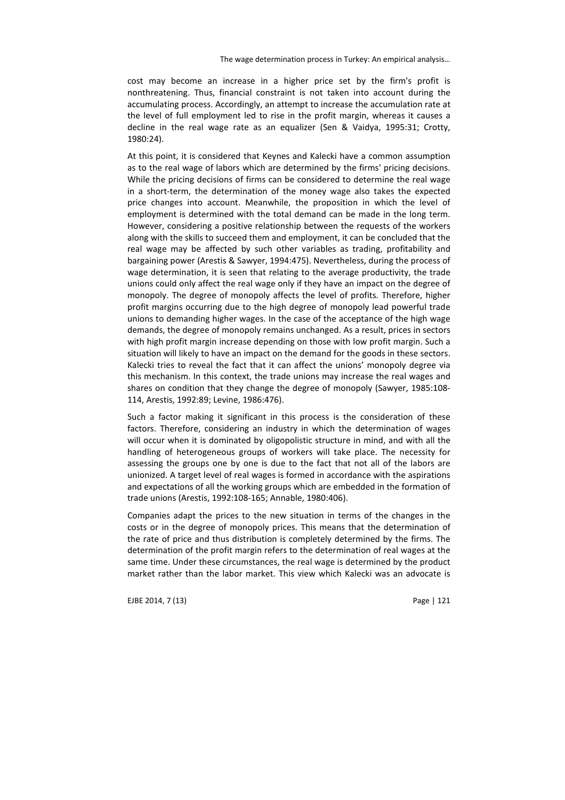cost may become an increase in a higher price set by the firm's profit is nonthreatening. Thus, financial constraint is not taken into account during the accumulating process. Accordingly, an attempt to increase the accumulation rate at the level of full employment led to rise in the profit margin, whereas it causes a decline in the real wage rate as an equalizer (Sen & Vaidya, 1995:31; Crotty, 1980:24).

At this point, it is considered that Keynes and Kalecki have a common assumption as to the real wage of labors which are determined by the firms' pricing decisions. While the pricing decisions of firms can be considered to determine the real wage in a short-term, the determination of the money wage also takes the expected price changes into account. Meanwhile, the proposition in which the level of employment is determined with the total demand can be made in the long term. However, considering a positive relationship between the requests of the workers along with the skills to succeed them and employment, it can be concluded that the real wage may be affected by such other variables as trading, profitability and bargaining power (Arestis & Sawyer, 1994:475). Nevertheless, during the process of wage determination, it is seen that relating to the average productivity, the trade unions could only affect the real wage only if they have an impact on the degree of monopoly. The degree of monopoly affects the level of profits. Therefore, higher profit margins occurring due to the high degree of monopoly lead powerful trade unions to demanding higher wages. In the case of the acceptance of the high wage demands, the degree of monopoly remains unchanged. As a result, prices in sectors with high profit margin increase depending on those with low profit margin. Such a situation will likely to have an impact on the demand for the goods in these sectors. Kalecki tries to reveal the fact that it can affect the unions' monopoly degree via this mechanism. In this context, the trade unions may increase the real wages and shares on condition that they change the degree of monopoly (Sawyer, 1985:108- 114, Arestis, 1992:89; Levine, 1986:476).

Such a factor making it significant in this process is the consideration of these factors. Therefore, considering an industry in which the determination of wages will occur when it is dominated by oligopolistic structure in mind, and with all the handling of heterogeneous groups of workers will take place. The necessity for assessing the groups one by one is due to the fact that not all of the labors are unionized. A target level of real wages is formed in accordance with the aspirations and expectations of all the working groups which are embedded in the formation of trade unions (Arestis, 1992:108-165; Annable, 1980:406).

Companies adapt the prices to the new situation in terms of the changes in the costs or in the degree of monopoly prices. This means that the determination of the rate of price and thus distribution is completely determined by the firms. The determination of the profit margin refers to the determination of real wages at the same time. Under these circumstances, the real wage is determined by the product market rather than the labor market. This view which Kalecki was an advocate is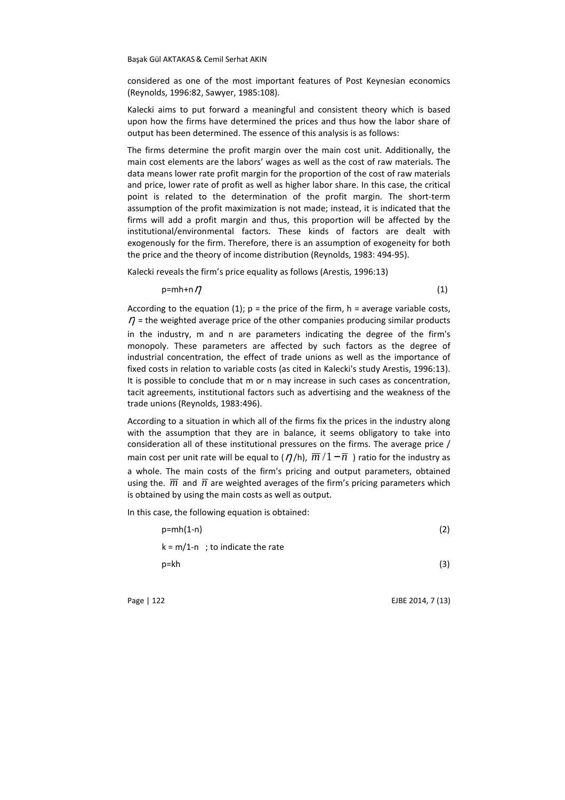considered as one of the most important features of Post Keynesian economics (Reynolds, 1996:82, Sawyer, 1985:108).

Kalecki aims to put forward a meaningful and consistent theory which is based upon how the firms have determined the prices and thus how the labor share of output has been determined. The essence of this analysis is as follows:

The firms determine the profit margin over the main cost unit. Additionally, the main cost elements are the labors' wages as well as the cost of raw materials. The data means lower rate profit margin for the proportion of the cost of raw materials and price, lower rate of profit as well as higher labor share. In this case, the critical point is related to the determination of the profit margin. The short-term assumption of the profit maximization is not made; instead, it is indicated that the firms will add a profit margin and thus, this proportion will be affected by the institutional/environmental factors. These kinds of factors are dealt with exogenously for the firm. Therefore, there is an assumption of exogeneity for both the price and the theory of income distribution (Reynolds, 1983: 494-95).

Kalecki reveals the firm's price equality as follows (Arestis, 1996:13)

 $p=mh+n\eta$  (1)

According to the equation (1);  $p =$  the price of the firm,  $h =$  average variable costs,  $\eta$  = the weighted average price of the other companies producing similar products in the industry, m and n are parameters indicating the degree of the firm's monopoly. These parameters are affected by such factors as the degree of industrial concentration, the effect of trade unions as well as the importance of fixed costs in relation to variable costs (as cited in Kalecki's study Arestis, 1996:13). It is possible to conclude that m or n may increase in such cases as concentration, tacit agreements, institutional factors such as advertising and the weakness of the trade unions (Reynolds, 1983:496).

According to a situation in which all of the firms fix the prices in the industry along with the assumption that they are in balance, it seems obligatory to take into consideration all of these institutional pressures on the firms. The average price / main cost per unit rate will be equal to  $(\eta / h)$ ,  $\overline{m}/1 - \overline{n}$  ) ratio for the industry as a whole. The main costs of the firm's pricing and output parameters, obtained using the.  $\overline{m}$  and  $\overline{n}$  are weighted averages of the firm's pricing parameters which is obtained by using the main costs as well as output.

In this case, the following equation is obtained:

| $p=mh(1-n)$                        | (2) |
|------------------------------------|-----|
| $k = m/1-n$ ; to indicate the rate |     |
| $p$ =kh                            | (3) |
|                                    |     |

Page | 122 EJBE 2014, 7 (13)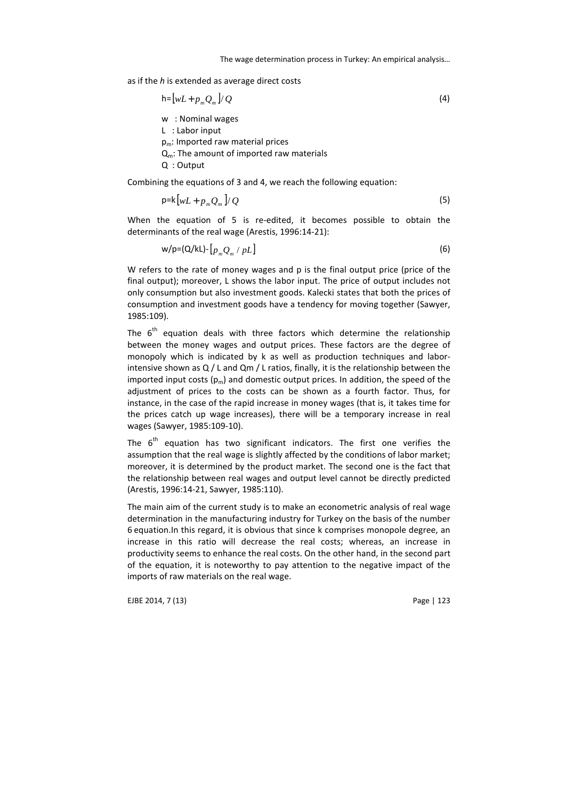as if the *h* is extended as average direct costs

$$
h = [wL + p_m Q_m] / Q
$$
\n
$$
w : \text{Nominal wages}
$$
\n
$$
L : \text{Labor input}
$$
\n
$$
p_m : \text{Imported raw material prices}
$$
\n
$$
Q_m : \text{The amount of imported raw materials}
$$
\n
$$
Q : \text{Output}
$$

Combining the equations of 3 and 4, we reach the following equation:

$$
p = k \left[ wL + p_m Q_m \right] / Q \tag{5}
$$

When the equation of 5 is re-edited, it becomes possible to obtain the determinants of the real wage (Arestis, 1996:14-21):

$$
w/p = (Q/kL) - [p_m Q_m / pL]
$$
 (6)

W refers to the rate of money wages and p is the final output price (price of the final output); moreover, L shows the labor input. The price of output includes not only consumption but also investment goods. Kalecki states that both the prices of consumption and investment goods have a tendency for moving together (Sawyer, 1985:109).

The  $6<sup>th</sup>$  equation deals with three factors which determine the relationship between the money wages and output prices. These factors are the degree of monopoly which is indicated by k as well as production techniques and laborintensive shown as Q / L and Qm / L ratios, finally, it is the relationship between the imported input costs  $(p_m)$  and domestic output prices. In addition, the speed of the adjustment of prices to the costs can be shown as a fourth factor. Thus, for instance, in the case of the rapid increase in money wages (that is, it takes time for the prices catch up wage increases), there will be a temporary increase in real wages (Sawyer, 1985:109-10).

The  $6<sup>th</sup>$  equation has two significant indicators. The first one verifies the assumption that the real wage is slightly affected by the conditions of labor market; moreover, it is determined by the product market. The second one is the fact that the relationship between real wages and output level cannot be directly predicted (Arestis, 1996:14-21, Sawyer, 1985:110).

The main aim of the current study is to make an econometric analysis of real wage determination in the manufacturing industry for Turkey on the basis of the number 6 equation.In this regard, it is obvious that since k comprises monopole degree, an increase in this ratio will decrease the real costs; whereas, an increase in productivity seems to enhance the real costs. On the other hand, in the second part of the equation, it is noteworthy to pay attention to the negative impact of the imports of raw materials on the real wage.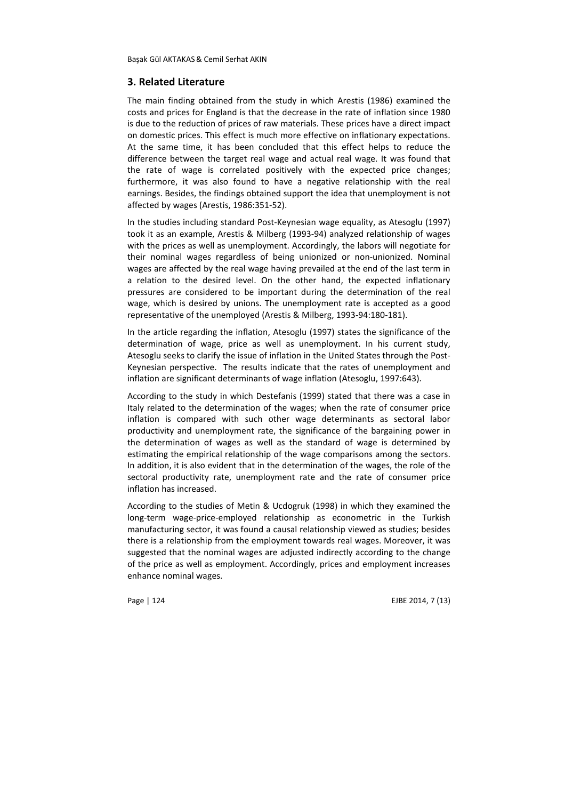## **3. Related Literature**

The main finding obtained from the study in which Arestis (1986) examined the costs and prices for England is that the decrease in the rate of inflation since 1980 is due to the reduction of prices of raw materials. These prices have a direct impact on domestic prices. This effect is much more effective on inflationary expectations. At the same time, it has been concluded that this effect helps to reduce the difference between the target real wage and actual real wage. It was found that the rate of wage is correlated positively with the expected price changes; furthermore, it was also found to have a negative relationship with the real earnings. Besides, the findings obtained support the idea that unemployment is not affected by wages (Arestis, 1986:351-52).

In the studies including standard Post-Keynesian wage equality, as Atesoglu (1997) took it as an example, Arestis & Milberg (1993-94) analyzed relationship of wages with the prices as well as unemployment. Accordingly, the labors will negotiate for their nominal wages regardless of being unionized or non-unionized. Nominal wages are affected by the real wage having prevailed at the end of the last term in a relation to the desired level. On the other hand, the expected inflationary pressures are considered to be important during the determination of the real wage, which is desired by unions. The unemployment rate is accepted as a good representative of the unemployed (Arestis & Milberg, 1993-94:180-181).

In the article regarding the inflation, Atesoglu (1997) states the significance of the determination of wage, price as well as unemployment. In his current study, Atesoglu seeks to clarify the issue of inflation in the United States through the Post-Keynesian perspective. The results indicate that the rates of unemployment and inflation are significant determinants of wage inflation (Atesoglu, 1997:643).

According to the study in which Destefanis (1999) stated that there was a case in Italy related to the determination of the wages; when the rate of consumer price inflation is compared with such other wage determinants as sectoral labor productivity and unemployment rate, the significance of the bargaining power in the determination of wages as well as the standard of wage is determined by estimating the empirical relationship of the wage comparisons among the sectors. In addition, it is also evident that in the determination of the wages, the role of the sectoral productivity rate, unemployment rate and the rate of consumer price inflation has increased.

According to the studies of Metin & Ucdogruk (1998) in which they examined the long-term wage-price-employed relationship as econometric in the Turkish manufacturing sector, it was found a causal relationship viewed as studies; besides there is a relationship from the employment towards real wages. Moreover, it was suggested that the nominal wages are adjusted indirectly according to the change of the price as well as employment. Accordingly, prices and employment increases enhance nominal wages.

Page | 124 EJBE 2014, 7 (13)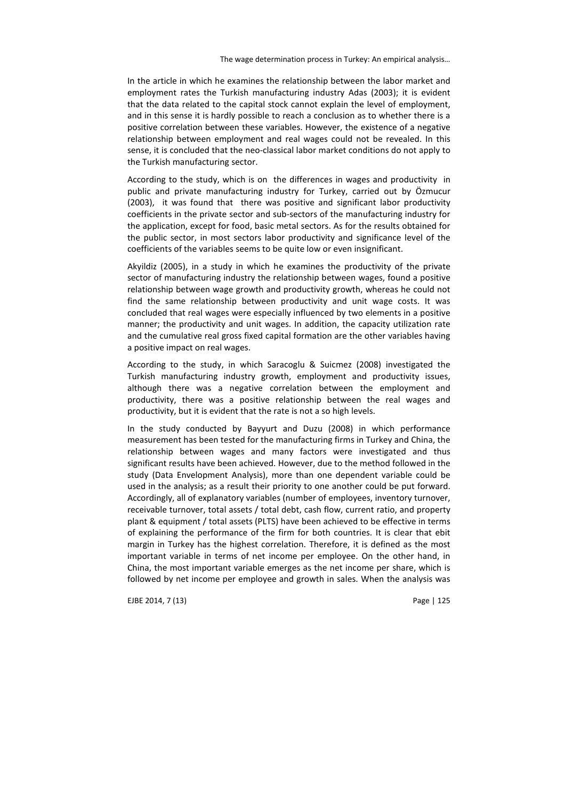In the article in which he examines the relationship between the labor market and employment rates the Turkish manufacturing industry Adas (2003); it is evident that the data related to the capital stock cannot explain the level of employment, and in this sense it is hardly possible to reach a conclusion as to whether there is a positive correlation between these variables. However, the existence of a negative relationship between employment and real wages could not be revealed. In this sense, it is concluded that the neo-classical labor market conditions do not apply to the Turkish manufacturing sector.

According to the study, which is on the differences in wages and productivity in public and private manufacturing industry for Turkey, carried out by Özmucur (2003), it was found that there was positive and significant labor productivity coefficients in the private sector and sub-sectors of the manufacturing industry for the application, except for food, basic metal sectors. As for the results obtained for the public sector, in most sectors labor productivity and significance level of the coefficients of the variables seems to be quite low or even insignificant.

Akyildiz (2005), in a study in which he examines the productivity of the private sector of manufacturing industry the relationship between wages, found a positive relationship between wage growth and productivity growth, whereas he could not find the same relationship between productivity and unit wage costs. It was concluded that real wages were especially influenced by two elements in a positive manner; the productivity and unit wages. In addition, the capacity utilization rate and the cumulative real gross fixed capital formation are the other variables having a positive impact on real wages.

According to the study, in which Saracoglu & Suicmez (2008) investigated the Turkish manufacturing industry growth, employment and productivity issues, although there was a negative correlation between the employment and productivity, there was a positive relationship between the real wages and productivity, but it is evident that the rate is not a so high levels.

In the study conducted by Bayyurt and Duzu (2008) in which performance measurement has been tested for the manufacturing firms in Turkey and China, the relationship between wages and many factors were investigated and thus significant results have been achieved. However, due to the method followed in the study (Data Envelopment Analysis), more than one dependent variable could be used in the analysis; as a result their priority to one another could be put forward. Accordingly, all of explanatory variables (number of employees, inventory turnover, receivable turnover, total assets / total debt, cash flow, current ratio, and property plant & equipment / total assets (PLTS) have been achieved to be effective in terms of explaining the performance of the firm for both countries. It is clear that ebit margin in Turkey has the highest correlation. Therefore, it is defined as the most important variable in terms of net income per employee. On the other hand, in China, the most important variable emerges as the net income per share, which is followed by net income per employee and growth in sales. When the analysis was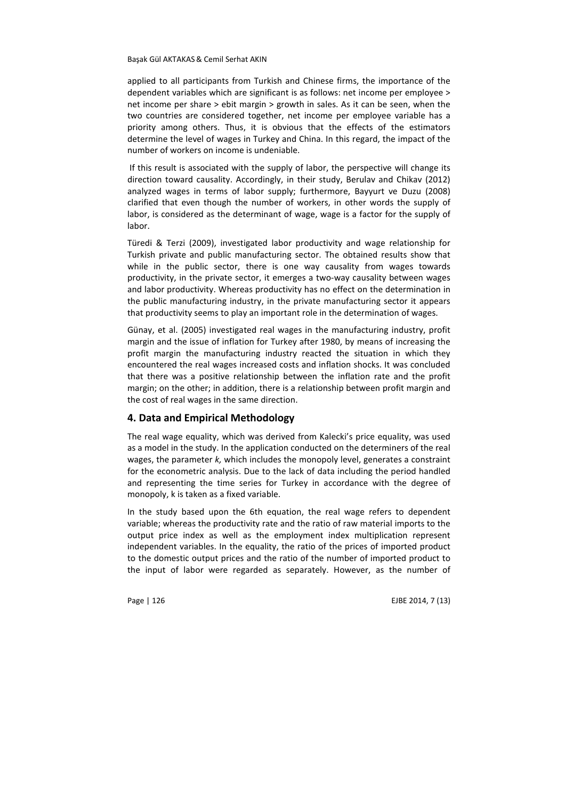applied to all participants from Turkish and Chinese firms, the importance of the dependent variables which are significant is as follows: net income per employee > net income per share > ebit margin > growth in sales. As it can be seen, when the two countries are considered together, net income per employee variable has a priority among others. Thus, it is obvious that the effects of the estimators determine the level of wages in Turkey and China. In this regard, the impact of the number of workers on income is undeniable.

 If this result is associated with the supply of labor, the perspective will change its direction toward causality. Accordingly, in their study, Berulav and Chikav (2012) analyzed wages in terms of labor supply; furthermore, Bayyurt ve Duzu (2008) clarified that even though the number of workers, in other words the supply of labor, is considered as the determinant of wage, wage is a factor for the supply of labor.

Türedi & Terzi (2009), investigated labor productivity and wage relationship for Turkish private and public manufacturing sector. The obtained results show that while in the public sector, there is one way causality from wages towards productivity, in the private sector, it emerges a two-way causality between wages and labor productivity. Whereas productivity has no effect on the determination in the public manufacturing industry, in the private manufacturing sector it appears that productivity seems to play an important role in the determination of wages.

Günay, et al. (2005) investigated real wages in the manufacturing industry, profit margin and the issue of inflation for Turkey after 1980, by means of increasing the profit margin the manufacturing industry reacted the situation in which they encountered the real wages increased costs and inflation shocks. It was concluded that there was a positive relationship between the inflation rate and the profit margin; on the other; in addition, there is a relationship between profit margin and the cost of real wages in the same direction.

## **4. Data and Empirical Methodology**

The real wage equality, which was derived from Kalecki's price equality, was used as a model in the study. In the application conducted on the determiners of the real wages, the parameter *k,* which includes the monopoly level, generates a constraint for the econometric analysis. Due to the lack of data including the period handled and representing the time series for Turkey in accordance with the degree of monopoly, k is taken as a fixed variable.

In the study based upon the 6th equation, the real wage refers to dependent variable; whereas the productivity rate and the ratio of raw material imports to the output price index as well as the employment index multiplication represent independent variables. In the equality, the ratio of the prices of imported product to the domestic output prices and the ratio of the number of imported product to the input of labor were regarded as separately. However, as the number of

Page | 126 EJBE 2014, 7 (13)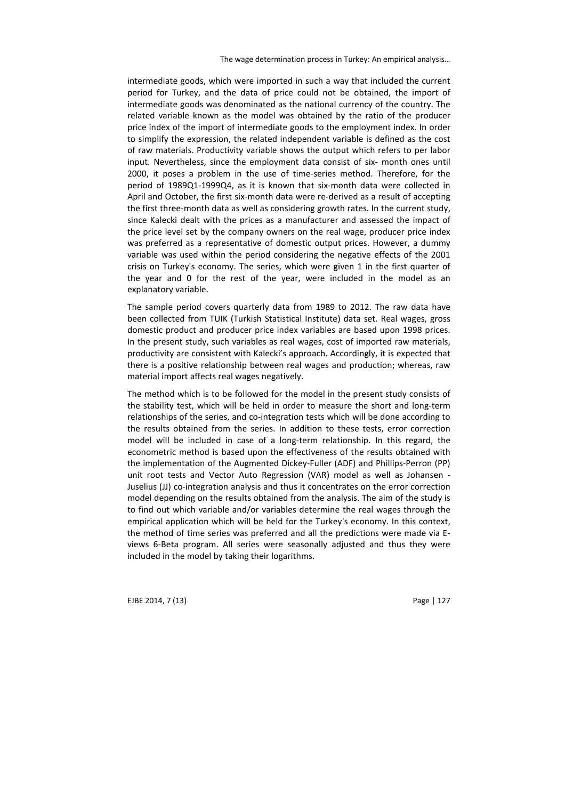intermediate goods, which were imported in such a way that included the current period for Turkey, and the data of price could not be obtained, the import of intermediate goods was denominated as the national currency of the country. The related variable known as the model was obtained by the ratio of the producer price index of the import of intermediate goods to the employment index. In order to simplify the expression, the related independent variable is defined as the cost of raw materials. Productivity variable shows the output which refers to per labor input. Nevertheless, since the employment data consist of six- month ones until 2000, it poses a problem in the use of time-series method. Therefore, for the period of 1989Q1-1999Q4, as it is known that six-month data were collected in April and October, the first six-month data were re-derived as a result of accepting the first three-month data as well as considering growth rates. In the current study, since Kalecki dealt with the prices as a manufacturer and assessed the impact of the price level set by the company owners on the real wage, producer price index was preferred as a representative of domestic output prices. However, a dummy variable was used within the period considering the negative effects of the 2001 crisis on Turkey's economy. The series, which were given 1 in the first quarter of the year and 0 for the rest of the year, were included in the model as an explanatory variable.

The sample period covers quarterly data from 1989 to 2012. The raw data have been collected from TUIK (Turkish Statistical Institute) data set. Real wages, gross domestic product and producer price index variables are based upon 1998 prices. In the present study, such variables as real wages, cost of imported raw materials, productivity are consistent with Kalecki's approach. Accordingly, it is expected that there is a positive relationship between real wages and production; whereas, raw material import affects real wages negatively.

The method which is to be followed for the model in the present study consists of the stability test, which will be held in order to measure the short and long-term relationships of the series, and co-integration tests which will be done according to the results obtained from the series. In addition to these tests, error correction model will be included in case of a long-term relationship. In this regard, the econometric method is based upon the effectiveness of the results obtained with the implementation of the Augmented Dickey-Fuller (ADF) and Phillips-Perron (PP) unit root tests and Vector Auto Regression (VAR) model as well as Johansen - Juselius (JJ) co-integration analysis and thus it concentrates on the error correction model depending on the results obtained from the analysis. The aim of the study is to find out which variable and/or variables determine the real wages through the empirical application which will be held for the Turkey's economy. In this context, the method of time series was preferred and all the predictions were made via Eviews 6-Beta program. All series were seasonally adjusted and thus they were included in the model by taking their logarithms.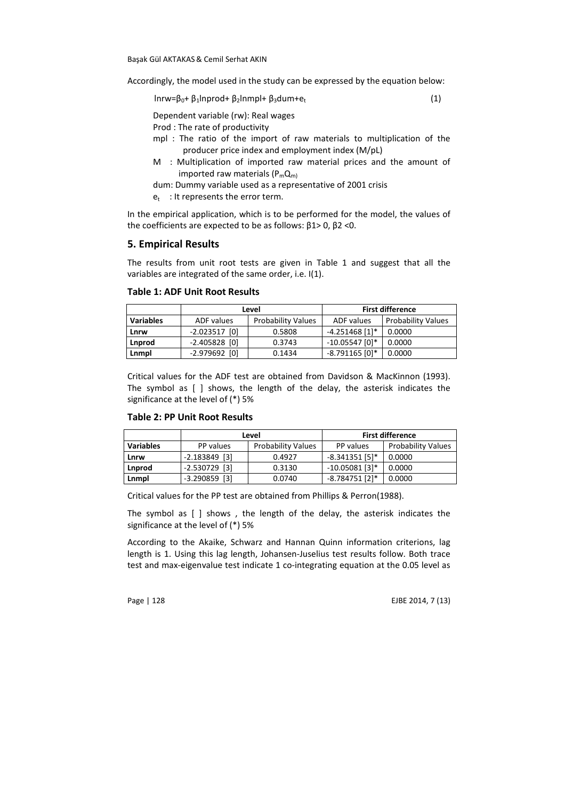Accordingly, the model used in the study can be expressed by the equation below:

lnrw=β<sub>0</sub>+ β<sub>1</sub>lnprod+ β<sub>2</sub>lnmpl+ β<sub>3</sub>dum+e<sub>t</sub>  $(1)$ 

Dependent variable (rw): Real wages

Prod : The rate of productivity

- mpl : The ratio of the import of raw materials to multiplication of the producer price index and employment index (M/pL)
- M : Multiplication of imported raw material prices and the amount of imported raw materials  $(P_mQ_m)$
- dum: Dummy variable used as a representative of 2001 crisis
- $e_t$  : It represents the error term.

In the empirical application, which is to be performed for the model, the values of the coefficients are expected to be as follows: β1> 0, β2 <0.

# **5. Empirical Results**

The results from unit root tests are given in Table 1 and suggest that all the variables are integrated of the same order, i.e. I(1).

|                  | Level           |                           | <b>First difference</b> |                           |
|------------------|-----------------|---------------------------|-------------------------|---------------------------|
| <b>Variables</b> | ADF values      | <b>Probability Values</b> | ADF values              | <b>Probability Values</b> |
| Lnrw             | $-2.023517$ [0] | 0.5808                    | $-4.251468$ [1]*        | 0.0000                    |
| Lnprod           | $-2.405828$ [0] | 0.3743                    | $-10.05547$ [0]*        | 0.0000                    |
| Lnmpl            | $-2.979692$ [0] | 0.1434                    | $-8.791165$ [0]*        | 0.0000                    |

Critical values for the ADF test are obtained from Davidson & MacKinnon (1993). The symbol as [ ] shows, the length of the delay, the asterisk indicates the significance at the level of (\*) 5%

|  |  |  | Table 2: PP Unit Root Results |
|--|--|--|-------------------------------|
|--|--|--|-------------------------------|

|                  | Level                                  |        | <b>First difference</b> |                           |
|------------------|----------------------------------------|--------|-------------------------|---------------------------|
| <b>Variables</b> | <b>Probability Values</b><br>PP values |        | PP values               | <b>Probability Values</b> |
| Lnrw             | $-2.183849$ [3]                        | 0.4927 | $-8.341351$ [5]*        | 0.0000                    |
| Lnprod           | $-2.530729$ [3]                        | 0.3130 | $-10.05081$ [3]*        | 0.0000                    |
| Lnmpl            | $-3.290859$ [3]                        | 0.0740 | $-8.784751$ [2]*        | 0.0000                    |

Critical values for the PP test are obtained from Phillips & Perron(1988).

The symbol as [ ] shows , the length of the delay, the asterisk indicates the significance at the level of (\*) 5%

According to the Akaike, Schwarz and Hannan Quinn information criterions, lag length is 1. Using this lag length, Johansen-Juselius test results follow. Both trace test and max-eigenvalue test indicate 1 co-integrating equation at the 0.05 level as

Page | 128 EJBE 2014, 7 (13)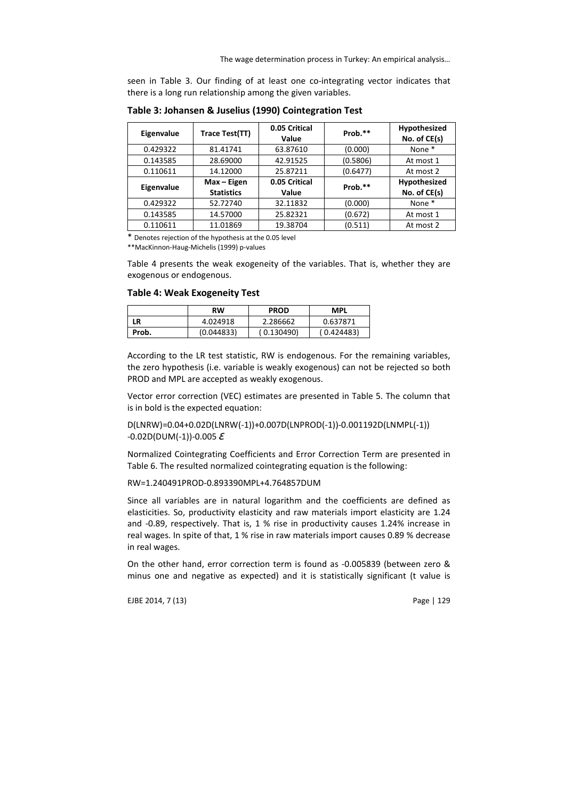seen in Table 3. Our finding of at least one co-integrating vector indicates that there is a long run relationship among the given variables.

| Eigenvalue | Trace Test(TT)                   | 0.05 Critical<br>Value | Prob.**  | Hypothesized<br>No. of CE(s) |
|------------|----------------------------------|------------------------|----------|------------------------------|
| 0.429322   | 81.41741                         | 63.87610               | (0.000)  | None *                       |
| 0.143585   | 28.69000                         | 42.91525               | (0.5806) | At most 1                    |
| 0.110611   | 14.12000                         | 25.87211               | (0.6477) | At most 2                    |
| Eigenvalue | Max - Eigen<br><b>Statistics</b> | 0.05 Critical<br>Value | Prob.**  | Hypothesized<br>No. of CE(s) |
| 0.429322   | 52.72740                         | 32.11832               | (0.000)  | None *                       |
| 0.143585   | 14.57000                         | 25.82321               | (0.672)  | At most 1                    |
| 0.110611   | 11.01869                         | 19.38704               | (0.511)  | At most 2                    |

**Table 3: Johansen & Juselius (1990) Cointegration Test** 

\* Denotes rejection of the hypothesis at the 0.05 level

\*\*MacKinnon-Haug-Michelis (1999) p-values

Table 4 presents the weak exogeneity of the variables. That is, whether they are exogenous or endogenous.

#### **Table 4: Weak Exogeneity Test**

|       | RW         | <b>PROD</b> | <b>MPL</b> |
|-------|------------|-------------|------------|
| LR    | 4.024918   | 2.286662    | 0.637871   |
| Prob. | (0.044833) | (0.130490)  | (0.424483) |

According to the LR test statistic, RW is endogenous. For the remaining variables, the zero hypothesis (i.e. variable is weakly exogenous) can not be rejected so both PROD and MPL are accepted as weakly exogenous.

Vector error correction (VEC) estimates are presented in Table 5. The column that is in bold is the expected equation:

D(LNRW)=0.04+0.02D(LNRW(-1))+0.007D(LNPROD(-1))-0.001192D(LNMPL(-1))  $-0.02D(DUM(-1)) - 0.005E$ 

Normalized Cointegrating Coefficients and Error Correction Term are presented in Table 6. The resulted normalized cointegrating equation is the following:

### RW=1.240491PROD-0.893390MPL+4.764857DUM

Since all variables are in natural logarithm and the coefficients are defined as elasticities. So, productivity elasticity and raw materials import elasticity are 1.24 and -0.89, respectively. That is, 1 % rise in productivity causes 1.24% increase in real wages. In spite of that, 1 % rise in raw materials import causes 0.89 % decrease in real wages.

On the other hand, error correction term is found as -0.005839 (between zero & minus one and negative as expected) and it is statistically significant (t value is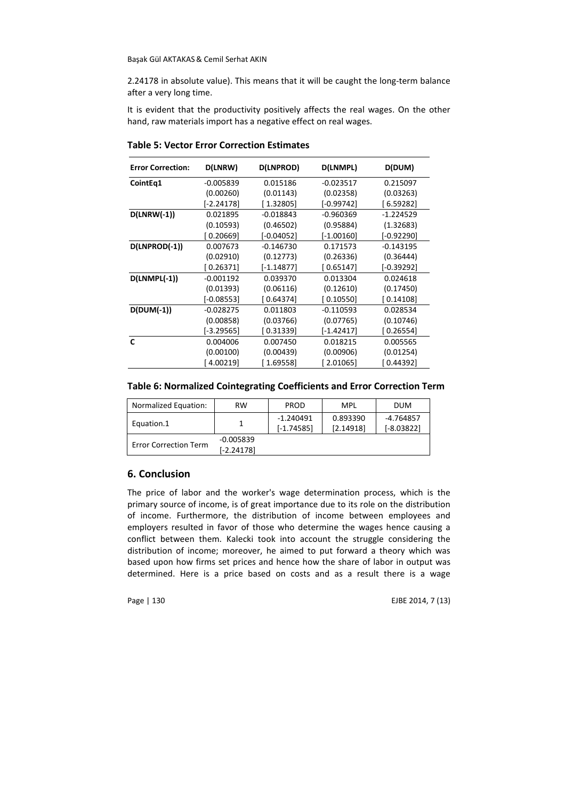2.24178 in absolute value). This means that it will be caught the long-term balance after a very long time.

It is evident that the productivity positively affects the real wages. On the other hand, raw materials import has a negative effect on real wages.

| <b>Error Correction:</b> | D(LNRW)      | D(LNPROD)    | D(LNMPL)                  | D(DUM)       |
|--------------------------|--------------|--------------|---------------------------|--------------|
| CointEq1                 | $-0.005839$  | 0.015186     | $-0.023517$               | 0.215097     |
|                          | (0.00260)    | (0.01143)    | (0.02358)                 | (0.03263)    |
|                          | $[-2.24178]$ | [1.32805]    | $[-0.99742]$              | [6.59282]    |
| $D(LNRW(-1))$            | 0.021895     | $-0.018843$  | $-0.960369$               | $-1.224529$  |
|                          | (0.10593)    | (0.46502)    | (0.95884)                 | (1.32683)    |
|                          | [0.20669]    | $[-0.04052]$ | $[-1.00160]$              | $[-0.92290]$ |
| D(LNPROD(-1))            | 0.007673     | $-0.146730$  | 0.171573                  | $-0.143195$  |
|                          | (0.02910)    | (0.12773)    | (0.26336)                 | (0.36444)    |
|                          | [0.26371]    | $[-1.14877]$ | [0.65147]                 | [-0.39292]   |
| $D(LNMPL(-1))$           | $-0.001192$  | 0.039370     | 0.013304                  | 0.024618     |
|                          | (0.01393)    | (0.06116)    | (0.12610)                 | (0.17450)    |
|                          | $[-0.08553]$ | [0.64374]    | [0.10550]                 | [0.14108]    |
| $D(DUM(-1))$             | $-0.028275$  | 0.011803     | $-0.110593$               | 0.028534     |
|                          | (0.00858)    | (0.03766)    | (0.07765)                 | (0.10746)    |
|                          | [-3.29565]   | [0.31339]    | $[-1.42417]$              | [0.26554]    |
| $\mathbf{C}$             | 0.004006     | 0.007450     | 0.018215                  | 0.005565     |
|                          | (0.00100)    | (0.00439)    | (0.00906)                 | (0.01254)    |
|                          | [ 4.00219]   | [1.69558]    | $\left[ \ 2.01065\right]$ | [0.44392]    |

**Table 5: Vector Error Correction Estimates** 

# **Table 6: Normalized Cointegrating Coefficients and Error Correction Term**

| Normalized Equation:         | RW                        | <b>PROD</b>               | <b>MPL</b>            | <b>DUM</b>                  |
|------------------------------|---------------------------|---------------------------|-----------------------|-----------------------------|
| Equation.1                   |                           | -1.240491<br>$[-1.74585]$ | 0.893390<br>[2.14918] | $-4.764857$<br>$[-8.03822]$ |
| <b>Error Correction Term</b> | $-0.005839$<br>[-2.24178] |                           |                       |                             |

# **6. Conclusion**

The price of labor and the worker's wage determination process, which is the primary source of income, is of great importance due to its role on the distribution of income. Furthermore, the distribution of income between employees and employers resulted in favor of those who determine the wages hence causing a conflict between them. Kalecki took into account the struggle considering the distribution of income; moreover, he aimed to put forward a theory which was based upon how firms set prices and hence how the share of labor in output was determined. Here is a price based on costs and as a result there is a wage

Page | 130 EJBE 2014, 7 (13)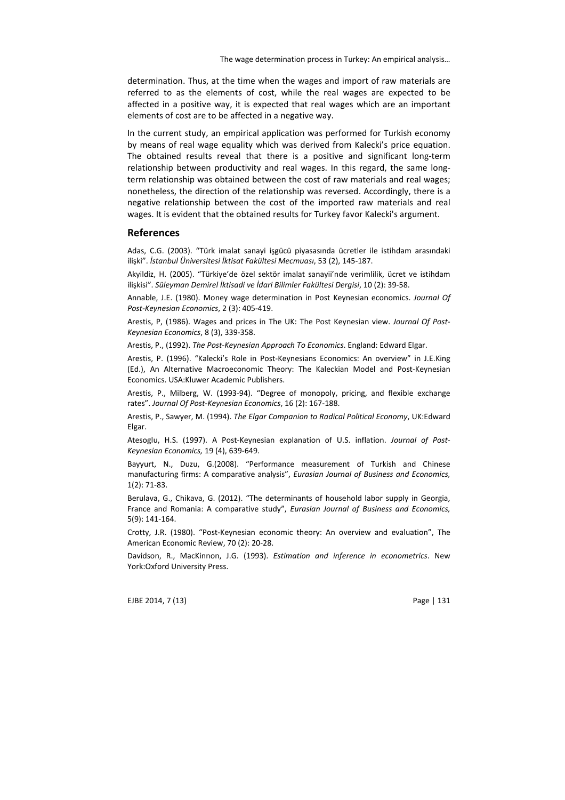determination. Thus, at the time when the wages and import of raw materials are referred to as the elements of cost, while the real wages are expected to be affected in a positive way, it is expected that real wages which are an important elements of cost are to be affected in a negative way.

In the current study, an empirical application was performed for Turkish economy by means of real wage equality which was derived from Kalecki's price equation. The obtained results reveal that there is a positive and significant long-term relationship between productivity and real wages. In this regard, the same longterm relationship was obtained between the cost of raw materials and real wages; nonetheless, the direction of the relationship was reversed. Accordingly, there is a negative relationship between the cost of the imported raw materials and real wages. It is evident that the obtained results for Turkey favor Kalecki's argument.

#### **References**

Adas, C.G. (2003). "Türk imalat sanayi işgücü piyasasında ücretler ile istihdam arasındaki ilişki". *İstanbul Üniversitesi İktisat Fakültesi Mecmuası*, 53 (2), 145-187.

Akyildiz, H. (2005). "Türkiye'de özel sektör imalat sanayii'nde verimlilik, ücret ve istihdam ilişkisi". *Süleyman Demirel İktisadi ve İdari Bilimler Fakültesi Dergisi*, 10 (2): 39-58.

Annable, J.E. (1980). Money wage determination in Post Keynesian economics. *Journal Of Post-Keynesian Economics*, 2 (3): 405-419.

Arestis, P, (1986). Wages and prices in The UK: The Post Keynesian view. *Journal Of Post-Keynesian Economics*, 8 (3), 339-358.

Arestis, P., (1992). *The Post-Keynesian Approach To Economics*. England: Edward Elgar.

Arestis, P. (1996). "Kalecki's Role in Post-Keynesians Economics: An overview" in J.E.King (Ed.), An Alternative Macroeconomic Theory: The Kaleckian Model and Post-Keynesian Economics. USA:Kluwer Academic Publishers.

Arestis, P., Milberg, W. (1993-94). "Degree of monopoly, pricing, and flexible exchange rates". *Journal Of Post-Keynesian Economics*, 16 (2): 167-188.

Arestis, P., Sawyer, M. (1994). *The Elgar Companion to Radical Political Economy*, UK:Edward Elgar.

Atesoglu, H.S. (1997). A Post-Keynesian explanation of U.S. inflation. *Journal of Post-Keynesian Economics,* 19 (4), 639-649.

Bayyurt, N., Duzu, G.(2008). "Performance measurement of Turkish and Chinese manufacturing firms: A comparative analysis", *Eurasian Journal of Business and Economics,* 1(2): 71-83.

Berulava, G., Chikava, G. (2012). "The determinants of household labor supply in Georgia, France and Romania: A comparative study", *Eurasian Journal of Business and Economics,* 5(9): 141-164.

Crotty, J.R. (1980). "Post-Keynesian economic theory: An overview and evaluation", The American Economic Review, 70 (2): 20-28.

Davidson, R., MacKinnon, J.G. (1993). *Estimation and inference in econometrics*. New York:Oxford University Press.